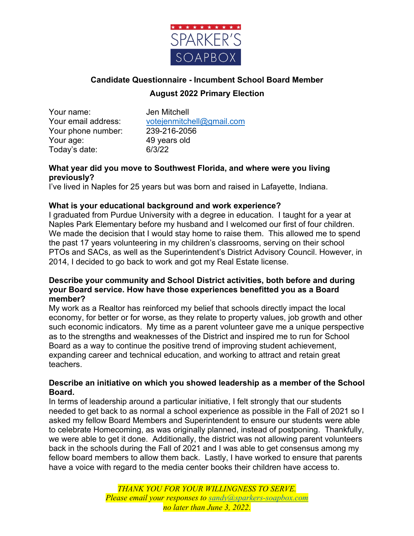

# **Candidate Questionnaire - Incumbent School Board Member August 2022 Primary Election**

Your name: Jen Mitchell Your phone number: 239-216-2056 Your age: 49 years old Today's date: 6/3/22

Your email address: votejenmitchell@gmail.com

## **What year did you move to Southwest Florida, and where were you living previously?**

I've lived in Naples for 25 years but was born and raised in Lafayette, Indiana.

# **What is your educational background and work experience?**

I graduated from Purdue University with a degree in education. I taught for a year at Naples Park Elementary before my husband and I welcomed our first of four children. We made the decision that I would stay home to raise them. This allowed me to spend the past 17 years volunteering in my children's classrooms, serving on their school PTOs and SACs, as well as the Superintendent's District Advisory Council. However, in 2014, I decided to go back to work and got my Real Estate license.

# **Describe your community and School District activities, both before and during your Board service. How have those experiences benefitted you as a Board member?**

My work as a Realtor has reinforced my belief that schools directly impact the local economy, for better or for worse, as they relate to property values, job growth and other such economic indicators. My time as a parent volunteer gave me a unique perspective as to the strengths and weaknesses of the District and inspired me to run for School Board as a way to continue the positive trend of improving student achievement, expanding career and technical education, and working to attract and retain great teachers.

# **Describe an initiative on which you showed leadership as a member of the School Board.**

In terms of leadership around a particular initiative, I felt strongly that our students needed to get back to as normal a school experience as possible in the Fall of 2021 so I asked my fellow Board Members and Superintendent to ensure our students were able to celebrate Homecoming, as was originally planned, instead of postponing. Thankfully, we were able to get it done. Additionally, the district was not allowing parent volunteers back in the schools during the Fall of 2021 and I was able to get consensus among my fellow board members to allow them back. Lastly, I have worked to ensure that parents have a voice with regard to the media center books their children have access to.